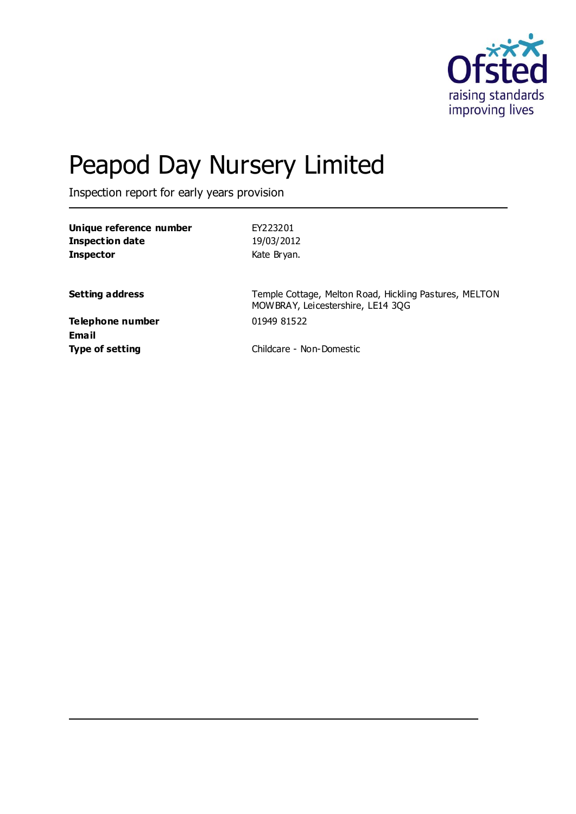

# Peapod Day Nursery Limited

Inspection report for early years provision

| Unique reference number                 | EY223201                                                                                    |
|-----------------------------------------|---------------------------------------------------------------------------------------------|
| <b>Inspection date</b>                  | 19/03/2012                                                                                  |
| <b>Inspector</b>                        | Kate Bryan.                                                                                 |
| <b>Setting address</b>                  | Temple Cottage, Melton Road, Hickling Pastures, MELTON<br>MOWBRAY, Leicestershire, LE14 3QG |
| <b>Telephone number</b><br><b>Email</b> | 01949 81522                                                                                 |
| <b>Type of setting</b>                  | Childcare - Non-Domestic                                                                    |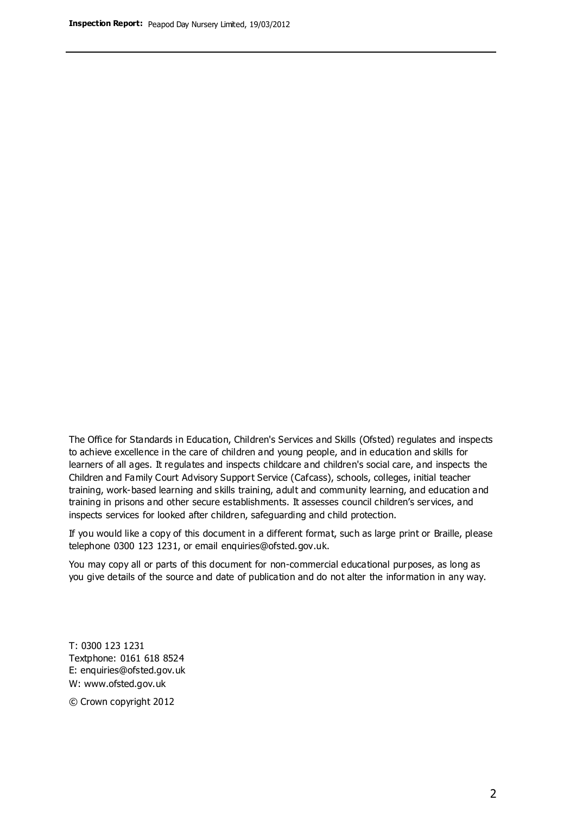The Office for Standards in Education, Children's Services and Skills (Ofsted) regulates and inspects to achieve excellence in the care of children and young people, and in education and skills for learners of all ages. It regulates and inspects childcare and children's social care, and inspects the Children and Family Court Advisory Support Service (Cafcass), schools, colleges, initial teacher training, work-based learning and skills training, adult and community learning, and education and training in prisons and other secure establishments. It assesses council children's services, and inspects services for looked after children, safeguarding and child protection.

If you would like a copy of this document in a different format, such as large print or Braille, please telephone 0300 123 1231, or email enquiries@ofsted.gov.uk.

You may copy all or parts of this document for non-commercial educational purposes, as long as you give details of the source and date of publication and do not alter the information in any way.

T: 0300 123 1231 Textphone: 0161 618 8524 E: enquiries@ofsted.gov.uk W: [www.ofsted.gov.uk](http://www.ofsted.gov.uk/)

© Crown copyright 2012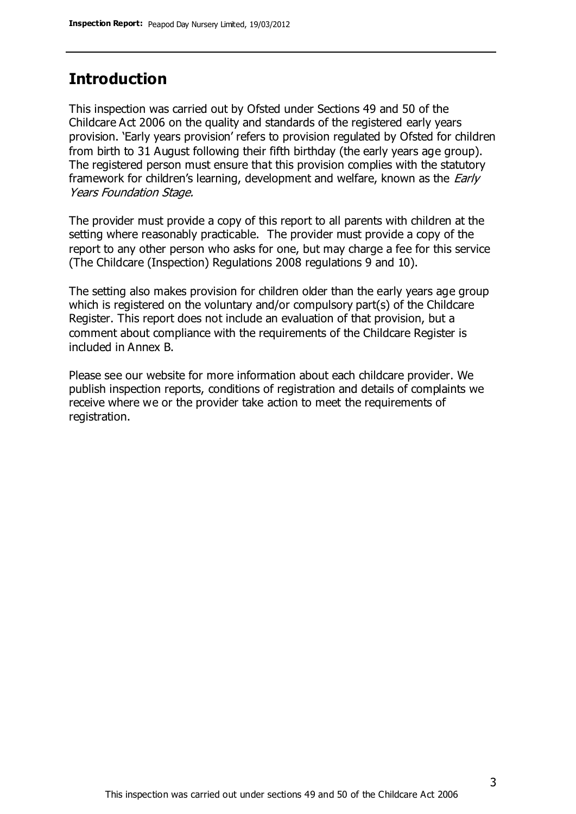## **Introduction**

This inspection was carried out by Ofsted under Sections 49 and 50 of the Childcare Act 2006 on the quality and standards of the registered early years provision. 'Early years provision' refers to provision regulated by Ofsted for children from birth to 31 August following their fifth birthday (the early years age group). The registered person must ensure that this provision complies with the statutory framework for children's learning, development and welfare, known as the *Early* Years Foundation Stage.

The provider must provide a copy of this report to all parents with children at the setting where reasonably practicable. The provider must provide a copy of the report to any other person who asks for one, but may charge a fee for this service (The Childcare (Inspection) Regulations 2008 regulations 9 and 10).

The setting also makes provision for children older than the early years age group which is registered on the voluntary and/or compulsory part(s) of the Childcare Register. This report does not include an evaluation of that provision, but a comment about compliance with the requirements of the Childcare Register is included in Annex B.

Please see our website for more information about each childcare provider. We publish inspection reports, conditions of registration and details of complaints we receive where we or the provider take action to meet the requirements of registration.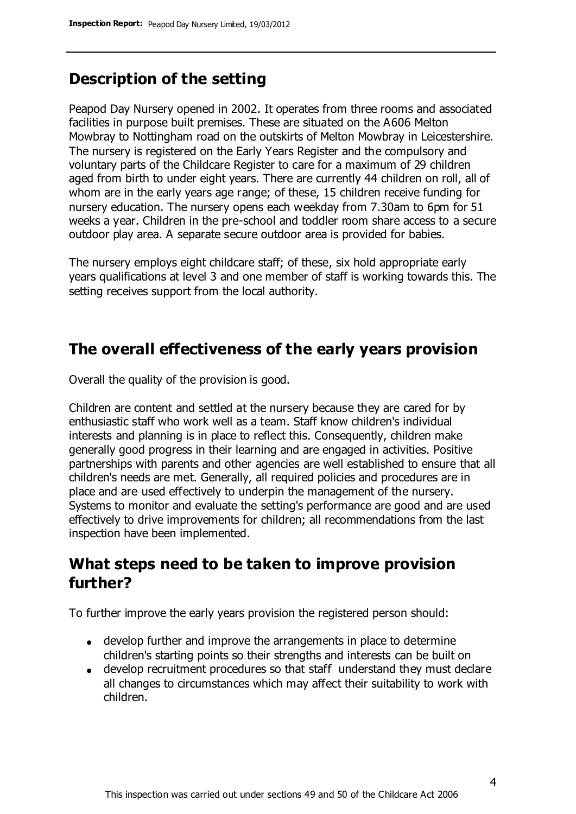# **Description of the setting**

Peapod Day Nursery opened in 2002. It operates from three rooms and associated facilities in purpose built premises. These are situated on the A606 Melton Mowbray to Nottingham road on the outskirts of Melton Mowbray in Leicestershire. The nursery is registered on the Early Years Register and the compulsory and voluntary parts of the Childcare Register to care for a maximum of 29 children aged from birth to under eight years. There are currently 44 children on roll, all of whom are in the early years age range; of these, 15 children receive funding for nursery education. The nursery opens each weekday from 7.30am to 6pm for 51 weeks a year. Children in the pre-school and toddler room share access to a secure outdoor play area. A separate secure outdoor area is provided for babies.

The nursery employs eight childcare staff; of these, six hold appropriate early years qualifications at level 3 and one member of staff is working towards this. The setting receives support from the local authority.

## **The overall effectiveness of the early years provision**

Overall the quality of the provision is good.

Children are content and settled at the nursery because they are cared for by enthusiastic staff who work well as a team. Staff know children's individual interests and planning is in place to reflect this. Consequently, children make generally good progress in their learning and are engaged in activities. Positive partnerships with parents and other agencies are well established to ensure that all children's needs are met. Generally, all required policies and procedures are in place and are used effectively to underpin the management of the nursery. Systems to monitor and evaluate the setting's performance are good and are used effectively to drive improvements for children; all recommendations from the last inspection have been implemented.

## **What steps need to be taken to improve provision further?**

To further improve the early years provision the registered person should:

- develop further and improve the arrangements in place to determine children's starting points so their strengths and interests can be built on
- develop recruitment procedures so that staff understand they must declare all changes to circumstances which may affect their suitability to work with children.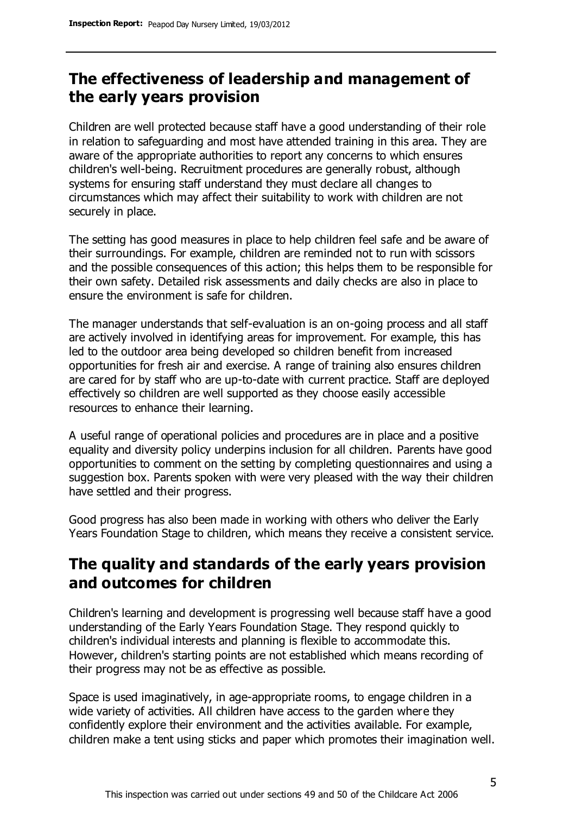# **The effectiveness of leadership and management of the early years provision**

Children are well protected because staff have a good understanding of their role in relation to safeguarding and most have attended training in this area. They are aware of the appropriate authorities to report any concerns to which ensures children's well-being. Recruitment procedures are generally robust, although systems for ensuring staff understand they must declare all changes to circumstances which may affect their suitability to work with children are not securely in place.

The setting has good measures in place to help children feel safe and be aware of their surroundings. For example, children are reminded not to run with scissors and the possible consequences of this action; this helps them to be responsible for their own safety. Detailed risk assessments and daily checks are also in place to ensure the environment is safe for children.

The manager understands that self-evaluation is an on-going process and all staff are actively involved in identifying areas for improvement. For example, this has led to the outdoor area being developed so children benefit from increased opportunities for fresh air and exercise. A range of training also ensures children are cared for by staff who are up-to-date with current practice. Staff are deployed effectively so children are well supported as they choose easily accessible resources to enhance their learning.

A useful range of operational policies and procedures are in place and a positive equality and diversity policy underpins inclusion for all children. Parents have good opportunities to comment on the setting by completing questionnaires and using a suggestion box. Parents spoken with were very pleased with the way their children have settled and their progress.

Good progress has also been made in working with others who deliver the Early Years Foundation Stage to children, which means they receive a consistent service.

# **The quality and standards of the early years provision and outcomes for children**

Children's learning and development is progressing well because staff have a good understanding of the Early Years Foundation Stage. They respond quickly to children's individual interests and planning is flexible to accommodate this. However, children's starting points are not established which means recording of their progress may not be as effective as possible.

Space is used imaginatively, in age-appropriate rooms, to engage children in a wide variety of activities. All children have access to the garden where they confidently explore their environment and the activities available. For example, children make a tent using sticks and paper which promotes their imagination well.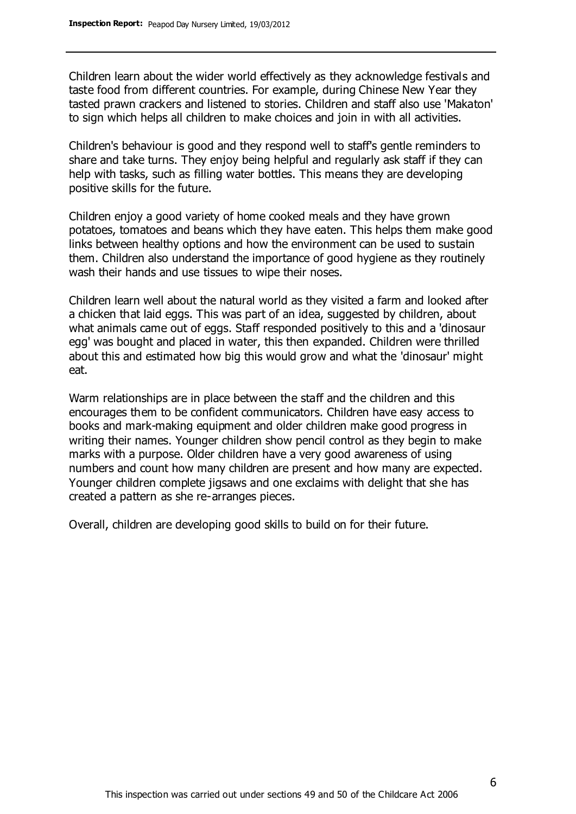Children learn about the wider world effectively as they acknowledge festivals and taste food from different countries. For example, during Chinese New Year they tasted prawn crackers and listened to stories. Children and staff also use 'Makaton' to sign which helps all children to make choices and join in with all activities.

Children's behaviour is good and they respond well to staff's gentle reminders to share and take turns. They enjoy being helpful and regularly ask staff if they can help with tasks, such as filling water bottles. This means they are developing positive skills for the future.

Children enjoy a good variety of home cooked meals and they have grown potatoes, tomatoes and beans which they have eaten. This helps them make good links between healthy options and how the environment can be used to sustain them. Children also understand the importance of good hygiene as they routinely wash their hands and use tissues to wipe their noses.

Children learn well about the natural world as they visited a farm and looked after a chicken that laid eggs. This was part of an idea, suggested by children, about what animals came out of eggs. Staff responded positively to this and a 'dinosaur egg' was bought and placed in water, this then expanded. Children were thrilled about this and estimated how big this would grow and what the 'dinosaur' might eat.

Warm relationships are in place between the staff and the children and this encourages them to be confident communicators. Children have easy access to books and mark-making equipment and older children make good progress in writing their names. Younger children show pencil control as they begin to make marks with a purpose. Older children have a very good awareness of using numbers and count how many children are present and how many are expected. Younger children complete jigsaws and one exclaims with delight that she has created a pattern as she re-arranges pieces.

Overall, children are developing good skills to build on for their future.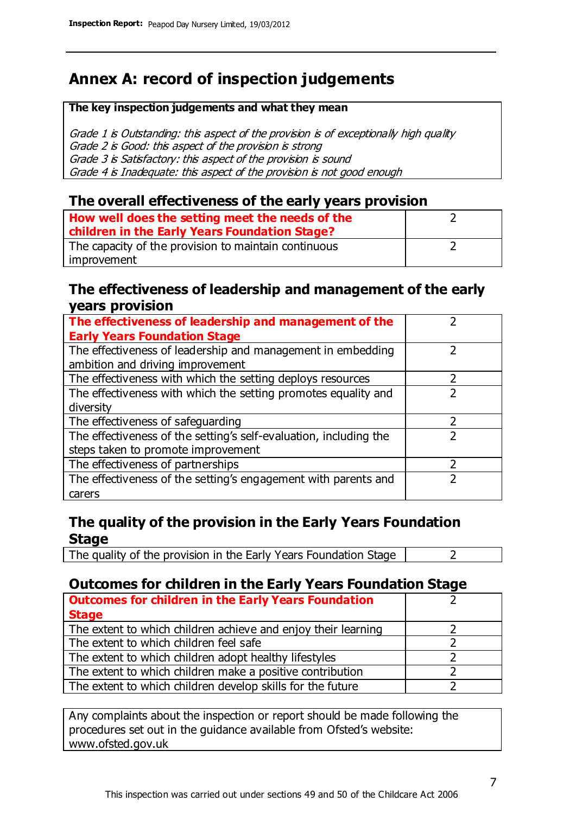# **Annex A: record of inspection judgements**

#### **The key inspection judgements and what they mean**

Grade 1 is Outstanding: this aspect of the provision is of exceptionally high quality Grade 2 is Good: this aspect of the provision is strong Grade 3 is Satisfactory: this aspect of the provision is sound Grade 4 is Inadequate: this aspect of the provision is not good enough

### **The overall effectiveness of the early years provision**

| How well does the setting meet the needs of the      |  |
|------------------------------------------------------|--|
| children in the Early Years Foundation Stage?        |  |
| The capacity of the provision to maintain continuous |  |
| improvement                                          |  |

#### **The effectiveness of leadership and management of the early years provision**

| The effectiveness of leadership and management of the             |  |
|-------------------------------------------------------------------|--|
| <b>Early Years Foundation Stage</b>                               |  |
| The effectiveness of leadership and management in embedding       |  |
| ambition and driving improvement                                  |  |
| The effectiveness with which the setting deploys resources        |  |
| The effectiveness with which the setting promotes equality and    |  |
| diversity                                                         |  |
| The effectiveness of safeguarding                                 |  |
| The effectiveness of the setting's self-evaluation, including the |  |
| steps taken to promote improvement                                |  |
| The effectiveness of partnerships                                 |  |
| The effectiveness of the setting's engagement with parents and    |  |
| carers                                                            |  |

## **The quality of the provision in the Early Years Foundation Stage**

The quality of the provision in the Early Years Foundation Stage  $\vert$  2

## **Outcomes for children in the Early Years Foundation Stage**

| <b>Outcomes for children in the Early Years Foundation</b>    |  |
|---------------------------------------------------------------|--|
| <b>Stage</b>                                                  |  |
| The extent to which children achieve and enjoy their learning |  |
| The extent to which children feel safe                        |  |
| The extent to which children adopt healthy lifestyles         |  |
| The extent to which children make a positive contribution     |  |
| The extent to which children develop skills for the future    |  |

Any complaints about the inspection or report should be made following the procedures set out in the guidance available from Ofsted's website: www.ofsted.gov.uk